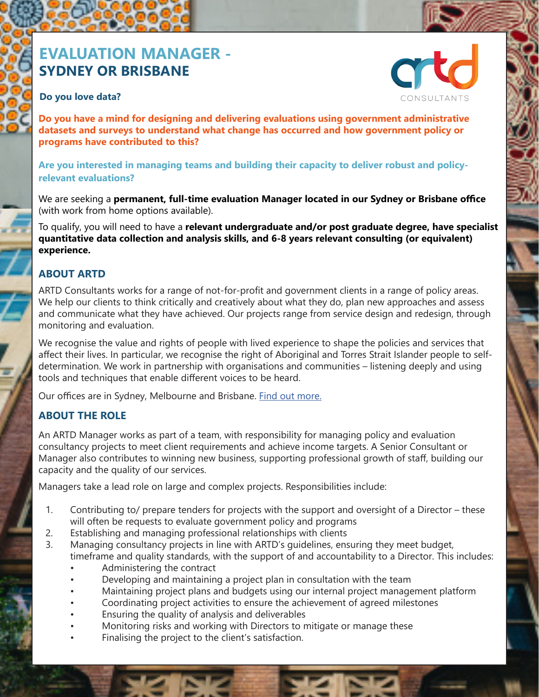# **EVALUATION MANAGER - SYDNEY OR BRISBANE**

#### **Do you love data?**

 $\overline{\phantom{a}}$ 



**Do you have a mind for designing and delivering evaluations using government administrative datasets and surveys to understand what change has occurred and how government policy or programs have contributed to this?**

**Are you interested in managing teams and building their capacity to deliver robust and policyrelevant evaluations?**

We are seeking a **permanent, full-time evaluation Manager located in our Sydney or Brisbane office**  (with work from home options available).

To qualify, you will need to have a **relevant undergraduate and/or post graduate degree, have specialist quantitative data collection and analysis skills, and 6-8 years relevant consulting (or equivalent) experience.** 

#### **ABOUT ARTD**

ARTD Consultants works for a range of not-for-profit and government clients in a range of policy areas. We help our clients to think critically and creatively about what they do, plan new approaches and assess and communicate what they have achieved. Our projects range from service design and redesign, through monitoring and evaluation.

We recognise the value and rights of people with lived experience to shape the policies and services that affect their lives. In particular, we recognise the right of Aboriginal and Torres Strait Islander people to selfdetermination. We work in partnership with organisations and communities – listening deeply and using tools and techniques that enable different voices to be heard.

Our offices are in Sydney, Melbourne and Brisbane. Find out more.

#### **ABOUT THE ROLE**

An ARTD Manager works as part of a team, with responsibility for managing policy and evaluation consultancy projects to meet client requirements and achieve income targets. A Senior Consultant or Manager also contributes to winning new business, supporting professional growth of staff, building our capacity and the quality of our services.

Managers take a lead role on large and complex projects. Responsibilities include:

- 1. Contributing to/ prepare tenders for projects with the support and oversight of a Director these will often be requests to evaluate government policy and programs
- 2. Establishing and managing professional relationships with clients
- 3. Managing consultancy projects in line with ARTD's guidelines, ensuring they meet budget, timeframe and quality standards, with the support of and accountability to a Director. This includes:
	- Administering the contract
	- Developing and maintaining a project plan in consultation with the team
	- Maintaining project plans and budgets using our internal project management platform
	- Coordinating project activities to ensure the achievement of agreed milestones
	- Ensuring the quality of analysis and deliverables
	- Monitoring risks and working with Directors to mitigate or manage these
	- Finalising the project to the client's satisfaction.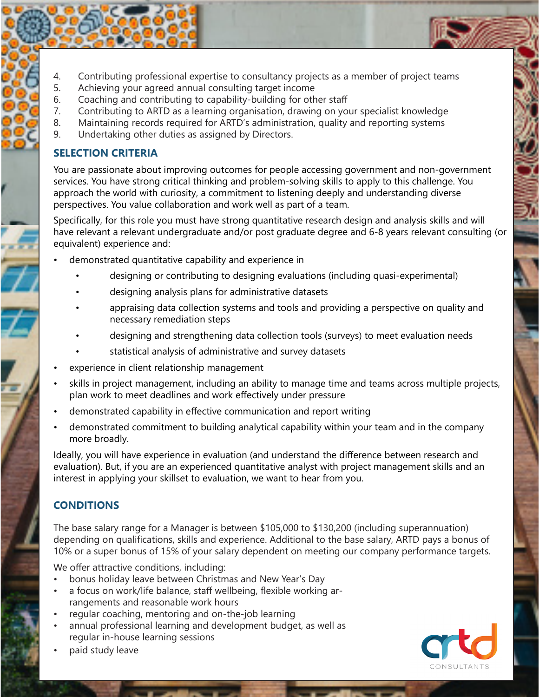- 4. Contributing professional expertise to consultancy projects as a member of project teams
- 5. Achieving your agreed annual consulting target income
- 6. Coaching and contributing to capability-building for other staff
- 7. Contributing to ARTD as a learning organisation, drawing on your specialist knowledge
- 8. Maintaining records required for ARTD's administration, quality and reporting systems
- 9. Undertaking other duties as assigned by Directors.

## **SELECTION CRITERIA**

You are passionate about improving outcomes for people accessing government and non-government services. You have strong critical thinking and problem-solving skills to apply to this challenge. You approach the world with curiosity, a commitment to listening deeply and understanding diverse perspectives. You value collaboration and work well as part of a team.

Specifically, for this role you must have strong quantitative research design and analysis skills and will have relevant a relevant undergraduate and/or post graduate degree and 6-8 years relevant consulting (or equivalent) experience and:

- demonstrated quantitative capability and experience in
	- designing or contributing to designing evaluations (including quasi-experimental)
	- designing analysis plans for administrative datasets
	- appraising data collection systems and tools and providing a perspective on quality and necessary remediation steps
	- designing and strengthening data collection tools (surveys) to meet evaluation needs
	- statistical analysis of administrative and survey datasets
- experience in client relationship management
- skills in project management, including an ability to manage time and teams across multiple projects, plan work to meet deadlines and work effectively under pressure
- demonstrated capability in effective communication and report writing
- demonstrated commitment to building analytical capability within your team and in the company more broadly.

Ideally, you will have experience in evaluation (and understand the difference between research and evaluation). But, if you are an experienced quantitative analyst with project management skills and an interest in applying your skillset to evaluation, we want to hear from you.

# **CONDITIONS**

The base salary range for a Manager is between \$105,000 to \$130,200 (including superannuation) depending on qualifications, skills and experience. Additional to the base salary, ARTD pays a bonus of 10% or a super bonus of 15% of your salary dependent on meeting our company performance targets.

We offer attractive conditions, including:

- bonus holiday leave between Christmas and New Year's Day
- a focus on work/life balance, staff wellbeing, flexible working arrangements and reasonable work hours
- regular coaching, mentoring and on-the-job learning
- annual professional learning and development budget, as well as regular in-house learning sessions